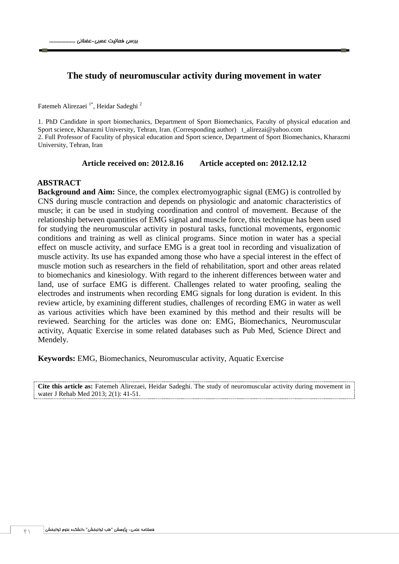### **The study of neuromuscular activity during movement in water**

Fatemeh Alirezaei<sup>1\*</sup>, Heidar Sadeghi<sup>2</sup>

1. PhD Candidate in sport biomechanics, Department of Sport Biomechanics, Faculty of physical education and Sport science, Kharazmi University, Tehran, Iran. (Corresponding author) t\_alirezai@yahoo.com 2. Full Professor of Faculity of physical education and Sport science, Department of Sport Biomechanics, Kharazmi University, Tehran, Iran

**Article received on: 2012.8.16 Article accepted on: 2012.12.12**

#### **ABSTRACT**

**Background and Aim:** Since, the complex electromyographic signal (EMG) is controlled by CNS during muscle contraction and depends on physiologic and anatomic characteristics of muscle; it can be used in studying coordination and control of movement. Because of the relationship between quantities of EMG signal and muscle force, this technique has been used for studying the neuromuscular activity in postural tasks, functional movements, ergonomic conditions and training as well as clinical programs. Since motion in water has a special effect on muscle activity, and surface EMG is a great tool in recording and visualization of muscle activity. Its use has expanded among those who have a special interest in the effect of muscle motion such as researchers in the field of rehabilitation, sport and other areas related to biomechanics and kinesiology. With regard to the inherent differences between water and land, use of surface EMG is different. Challenges related to water proofing, sealing the electrodes and instruments when recording EMG signals for long duration is evident. In this review article, by examining different studies, challenges of recording EMG in water as well as various activities which have been examined by this method and their results will be reviewed. Searching for the articles was done on: EMG, Biomechanics, Neuromuscular activity, Aquatic Exercise in some related databases such as Pub Med, Science Direct and Mendely.

**Keywords:** EMG, Biomechanics, Neuromuscular activity, Aquatic Exercise

**Cite this article as:** Fatemeh Alirezaei, Heidar Sadeghi. The study of neuromuscular activity during movement in water J Rehab Med 2013; 2(1): 41-51.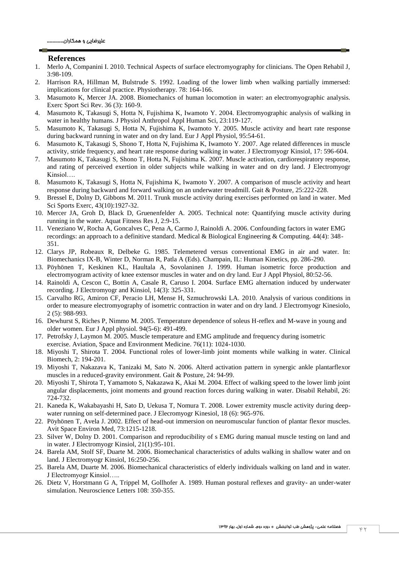#### **References**

- 1. Merlo A, Companini I. 2010. Technical Aspects of surface electromyography for clinicians. The Open Rehabil J, 3:98-109.
- 2. Harrison RA, Hillman M, Bulstrude S. 1992. Loading of the lower limb when walking partially immersed: implications for clinical practice. Physiotherapy. 78: 164-166.
- 3. Masumoto K, Mercer JA. 2008. Biomechanics of human locomotion in water: an electromyographic analysis. Exerc Sport Sci Rev. 36 (3): 160-9.
- 4. Masumoto K, Takasugi S, Hotta N, Fujishima K, Iwamoto Y. 2004. Electromyographic analysis of walking in water in healthy humans. J Physiol Anthropol Appl Human Sci, 23:119-127.
- 5. Masumoto K, Takasugi S, Hotta N, Fujishima K, Iwamoto Y. 2005. Muscle activity and heart rate response during backward running in water and on dry land. Eur J Appl Physiol, 95:54-61.
- 6. Masumoto K, Takasugi S, Shono T, Hotta N, Fujishima K, Iwamoto Y. 2007. Age related differences in muscle activity, stride frequency, and heart rate response during walking in water. J Electromyogr Kinsiol, 17: 596-604.
- 7. Masumoto K, Takasugi S, Shono T, Hotta N, Fujishima K. 2007. Muscle activation, cardiorespiratory response, and rating of perceived exertion in older subjects while walking in water and on dry land. J Electromyogr Kinsiol
- 8. Masumoto K, Takasugi S, Hotta N, Fujishima K, Iwamoto Y. 2007. A comparison of muscle activity and heart response during backward and forward walking on an underwater treadmill. Gait & Posture, 25:222-228.
- 9. Bressel E, Dolny D, Gibbons M. 2011. Trunk muscle activity during exercises performed on land in water. Med Sci Sports Exerc, 43(10):1927-32.
- 10. Mercer JA, Groh D, Black D, Gruenenfelder A. 2005. Technical note: Quantifying muscle activity during running in the water. Aquat Fitness Res J, 2:9-15.
- 11. Veneziano W, Rocha A, Goncalves C, Pena A, Carmo J, Rainoldi A. 2006. Confounding factors in water EMG recordings: an approach to a definitive standard. Medical & Biological Engineering & Computing. 44(4): 348- 351.
- 12. Clarys JP, Robeaux R, Delbeke G. 1985. Telemetered versus conventional EMG in air and water. In: Biomechanics IX-B, Winter D, Norman R, Patla A (Eds). Champain, IL: Human Kinetics, pp. 286-290.
- 13. Pöyhönen T, Keskinen KL, Haultala A, Sovolaninen J. 1999. Human isometric force production and electromyogram activity of knee extensor muscles in water and on dry land. Eur J Appl Physiol, 80:52-56.
- 14. Rainoldi A, Cescon C, Bottin A, Casale R, Caruso I. 2004. Surface EMG alternation induced by underwater recording. J Electromyogr and Kinsiol, 14(3): 325-331.
- 15. Carvalho RG, Amiron CF, Peracio LH, Mense H, Szmuchrowski LA. 2010. Analysis of various conditions in order to measure electromyography of isometric contraction in water and on dry land. J Electromyogr Kinesiolo, 2 (5): 988-993.
- 16. Dewhurst S, Riches P, Nimmo M. 2005. Temperature dependence of soleus H-reflex and M-wave in young and older women. Eur J Appl physiol. 94(5-6): 491-499.
- 17. Petrofsky J, Laymon M. 2005. Muscle temperature and EMG amplitude and frequency during isometric exercise. Aviation, Space and Environment Medicine. 76(11): 1024-1030.
- 18. Miyoshi T, Shirota T. 2004. Functional roles of lower-limb joint moments while walking in water. Clinical Biomech, 2: 194-201.
- 19. Miyoshi T, Nakazava K, Tanizaki M, Sato N. 2006. Alterd activation pattern in synergic ankle plantarflexor muscles in a reduced-gravity environment. Gait & Posture, 24: 94-99.
- 20. Miyoshi T, Shirota T, Yamamoto S, Nakazawa K, Akai M. 2004. Effect of walking speed to the lower limb joint angular displacements, joint moments and ground reaction forces during walking in water. Disabil Rehabil, 26: 724-732.
- 21. Kaneda K, Wakabayashi H, Sato D, Uekusa T, Nomura T. 2008. Lower extremity muscle activity during deepwater running on self-determined pace. J Elecromyogr Kinesiol, 18 (6): 965-976.
- 22. Pöyhönen T, Avela J. 2002. Effect of head-out immersion on neuromuscular function of plantar flexor muscles. Avit Space Environ Med, 73:1215-1218.
- 23. Silver W, Dolny D. 2001. Comparison and reproducibility of s EMG during manual muscle testing on land and in water. J Electromyogr Kinsiol, 21(1):95-101.
- 24. Barela AM, Stolf SF, Duarte M. 2006. Biomechanical characteristics of adults walking in shallow water and on land. J Electromyogr Kinsiol, 16:250-256.
- 25. Barela AM, Duarte M. 2006. Biomechanical characteristics of elderly individuals walking on land and in water. J Electromyogr Kinsiol…..
- 26. Dietz V, Horstmann G A, Trippel M, Gollhofer A. 1989. Human postural reflexes and gravity- an under-water simulation. Neuroscience Letters 108: 350-355.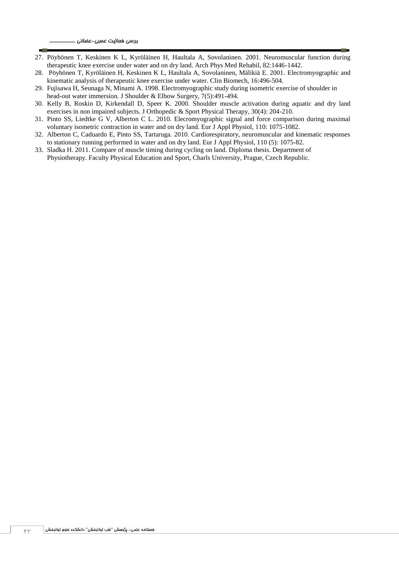- 27. Pöyhönen T, Keskinen K L, Kyröläinen H, Haultala A, Sovolaninen. 2001. Neuromuscular function during therapeutic knee exercise under water and on dry land. Arch Phys Med Rehabil, 82:1446-1442.
- 28. Pöyhönen T, Kyröläinen H, Keskinen K L, Haultala A, Sovolaninen, Mälikiä E. 2001. Electromyographic and kinematic analysis of therapeutic knee exercise under water. Clin Biomech, 16:496-504.
- 29. Fujisawa H, Seunaga N, Minami A. 1998. Electromyographic study during isometric exercise of shoulder in head-out water immersion. J Shoulder & Elbow Surgery, 7(5):491-494.
- 30. Kelly B, Roskin D, Kirkendall D, Speer K. 2000. Shoulder muscle activation during aquatic and dry land exercises in non impaired subjects. J Orthopedic & Sport Physical Therapy, 30(4): 204-210.
- 31. Pinto SS, Liedtke G V, Alberton C L. 2010. Elecromyographic signal and force comparison during maximal voluntary isometric contraction in water and on dry land. Eur J Appl Physiol, 110: 1075-1082.
- 32. Alberton C, Caduardo E, Pinto SS, Tartaruga. 2010. Cardiorespiratory, neuromuscular and kinematic responses to stationary running performed in water and on dry land. Eur J Appl Physiol, 110 (5): 1075-82.
- 33. Sladka H. 2011. Compare of muscle timing during cycling on land. Diploma thesis. Department of Physiotherapy. Faculty Physical Education and Sport, Charls University, Prague, Czech Republic.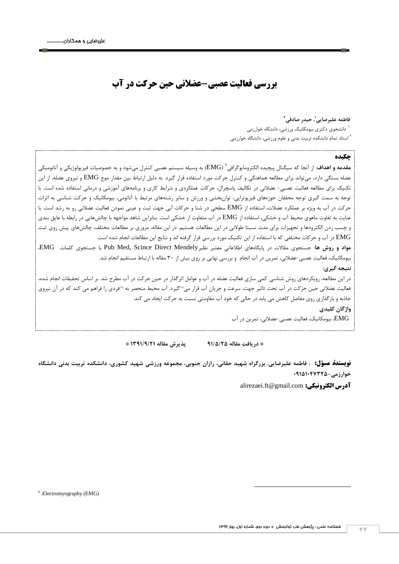# **بررسي فعاليت عصبي-عضالني حين حرکت در آب**

**2 ، حيدر صادقي <sup>1</sup> فاطمه عليرضايي** 

دانشجوي دکتري بيومکانيک ورزشي، دانشگاه خوارزمي <sup>4</sup>

<sup>۱</sup> استاد تمام دانشکده تربيت بدني و علوم ورزشي، دانشگاه خوارزمي

#### **چکيده**

هقدمه **و اهداف**: از آنجا که سيگنال پيچيده الکترومايوگرافي<sup>۹</sup> (EMG) به وسيله سيستم عصبي کنترل ميشود و به خصوصيات فيزيولوژيکي و آناتوميکي عضله بستگي دارد، ميتواند براي مطالعه هماهنگي و کنترل حرکت مورد استفاده قرار گيرد. به دليل ارتباط بين مقدار موج EMG و نيروي عضله، از اين تکنيک براي مطالعه فعاليت عصبي- عضالني در تکاليف پاسچرال، حرکات عملکردي و شرايط کاري و برنامههاي آموزشي و درماني استفاده شده است. با توجه به سمت گيري توجه محققان حوزههاي فيزيوتراپي، توانبخشي و ورزش و ساير رشتههاي مرتبط با آناتومي، بيومکانيک و حرکت شناسي به اثرات حرکت در آب به ويژه بر عملکرد عضالت، استفاده از EMG سطحي در شنا و حرکات آبي جهت ثبت و عيني نمودن فعاليت عضالني رو به رشد است. با عنايت به تفاوت ماهوي محيط آب و خشکي، استفاده از EMG در آب متفاوت از خشکي است. بنابراين شاهد مواجهه با چالشهايي در رابطه با عايق بندي و چسب زدن الکترودها و تجهيزات براي مدت نسبتا طوالني در اين مطالعات هستيم. در اين مقاله، مروري بر مطالعات مختلف، چالشهاي پيش روي ثبت EMG در آب و حرکات مختلفي که با استفاده از اين تکنيک مورد بررسي قرار گرفته اند و نتايج اين مطالعات انجام شده است.

**مواد و روش ها**: جستجوي مقاالت در پايگاههاي اطالعاتي معتبر نظيرMendely Direct Scince ,Med Pub با جستجوي کلمات EMG، بيومکانيک، فعاليت عصبي-عضالني، تمرين در آب انجام و بررسي نهايي بر روي بيش از 43 مقاله با ارتباط مستقيم انجام شد.

**نتيجه گيری:**

در اين مطالعه، رويکردهاي روش شناسي کمي سازي فعاليت عضله در آب و عوامل اثرگذار در حين حرکت در آب مطرح شد. بر اساس تحقيقات انجام شده، فعاليت عضالني حين حرکت در آب تحت تاثير جهت، سرعت و جريان آب قرار مي¬گيرد. آب محيط منحصر به ¬فردي را فراهم مي کند که در آن نيروي جاذبه و بارگذاري روي مفاصل کاهش مي يابد در حالي که خود آب مقاومتي نسبت به حرکت ايجاد مي کند. **واژگان کليدی**

EMG، بيومکانيک، فعاليت عصبي-عضالني، تمرين در آب

**\* دريافت مقاله 11/5/25 پذيرش مقاله 1111/1/21 \*** 

**نویسندۀ مسؤل: : فاطمه عليرضايي. بزرگراه شهيد حقاني، رازان جنوبي، مجموعه ورزشي شهيد کشوری، دانشکده تربيت بدني دانشگاه خوارزمي01151015125-**

alirezaei.ft@gmail.com **:الکترونيکي آدرس**

9 .Electromyography (EMG)

1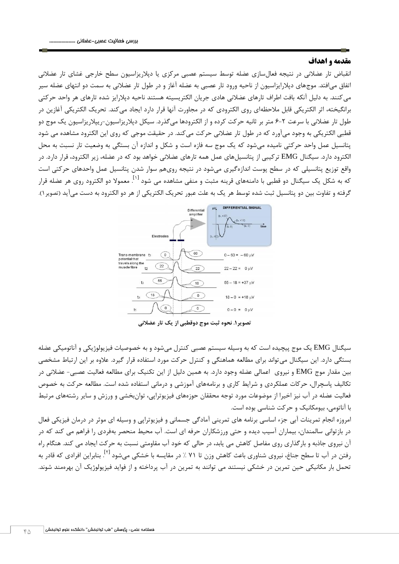#### **مقدمه و اهداف**

انقباض تار عضالني در نتيجه فعالسازي عضله توسط سيستم عصبي مرکزي يا دپالريزاسيون سطح خارجي غشاي تار عضالني اتفاق ميافتد. موجهاي دپالرايزاسيون از ناحيه ورود تار عصبي به عضله آغاز و در طول تار عضالني به سمت دو انتهاي عضله سير ميکنند. به دليل آنکه بافت اطراف تارهاي عضالني هادي جريان الکتريسيته هستند ناحيه دپالرايز شده تارهاي هر واحد حرکتي برانگيخته، اثر الکتريکي قابل مالحظهاي روي الکترودي که در مجاورت آنها قرار دارد ايجاد ميکند. تحريک الکتريکي آغازين در طول تار عضالني با سرعت 6-2 متر بر ثانيه حرکت کرده و از الکترودها ميگذرد. سيکل دپالريزاسيون-ريپالريزاسيون يک موج دو قطبي الکتريکي به وجود ميآورد که در طول تار عضالني حرکت ميکند. در حقيقت موجي که روي اين الکترود مشاهده مي شود پتانسيل عمل واحد حرکتي ناميده ميشود که يک موج سه فازه است و شکل و اندازه آن بستگي به وضعيت تار نسبت به محل الکترود دارد. سيگنال EMG ترکيبي از پتانسيلهاي عمل همه تارهاي عضالني خواهد بود که در عضله، زير الکترود، قرار دارد. در واقع توزيع پتانسيلي که در سطح پوست اندازهگيري ميشود در نتيجه رويهم سوار شدن پتانسيل عمل واحدهاي حرکتي است که به شکل یک سیگنال دو قطبی با دامنههای قرینه مثبت و منفی مشاهده می شود <sup>[۱]</sup>. معمولا دو الکترود روی هر عضله قرار گرفته و تفاوت بين دو پتانسيل ثبت شده توسط هر يک به علت عبور تحريک الکتريکي از هر دو الکترود به دست ميآيد (تصوير ١).



**تصوير.1 نحوه ثبت موج دوقطبي از يک تار عضالني**

سيگنال EMG يک موج پيچيده است که به وسيله سيستم عصبي کنترل ميشود و به خصوصيات فيزيولوژيکي و آناتوميکي عضله بستگي دارد. اين سيگنال ميتواند براي مطالعه هماهنگي و کنترل حرکت مورد استفاده قرار گيرد. عالوه بر اين ارتباط مشخصي بين مقدار موج EMG و نيروي اعمالي عضله وجود دارد. به همين دليل از اين تکنيک براي مطالعه فعاليت عصبي- عضالني در تکاليف پاسچرال، حرکات عملکردي و شرايط کاري و برنامههاي آموزشي و درماني استفاده شده است. مطالعه حرکت به خصوص فعاليت عضله در آب نيز اخيرا از موضوعات مورد توجه محققان حوزههاي فيزيوتراپي، توانبخشي و ورزش و ساير رشتههاي مرتبط با آناتومي، بيومکانيک و حرکت شناسي بوده است.

امروزه انجام تمرينات آبي جزء اساسي برنامه هاي تمريني آمادگي جسماني و فيزيوتراپي و وسيله اي موثر در درمان فيزيکي فعال در بازتواني سالمندان، بيماران آسيب ديده و حتي ورزشکاران حرفه اي است. آب محيط منحصر بهفردي را فراهم مي کند که در آن نيروي جاذبه و بارگذاري روي مفاصل کاهش مي يابد، در حالي که خود آب مقاومتي نسبت به حرکت ايجاد مي کند. هنگام راه رفتن در آب تا سطح جناغ، نيروى شناورى باعث کاهش وزن تا ۷۱ ٪ در مقايسه با خشکى مىشود <sup>[۲]</sup>. بنابراين افرادى که قادر به تحمل بار مکانيکي حين تمرين در خشکي نيستند مي توانند به تمرين در آب پرداخته و از فوايد فيزيولوژيک آن بهرهمند شوند.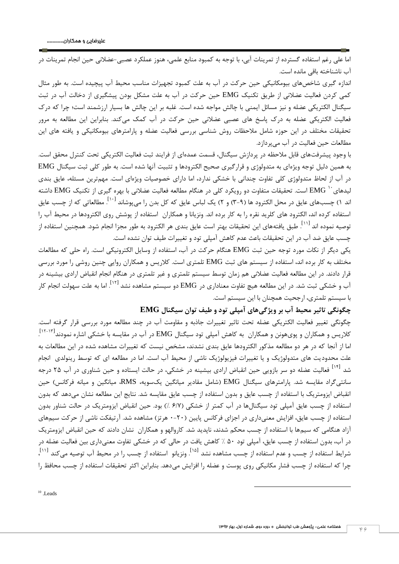اما علي رغم استفاده گسترده از تمرينات آبي، با توجه به کمبود منابع علمي، هنوز عملکرد عصبي-عضالني حين انجام تمرينات در آب ناشناخته باقي مانده است.

اندازه گيري شاخصهاي بيومکانيکي حين حرکت در آب به علت کمبود تجهيزات مناسب محيط آب پيچيده است. به طور مثال کمي کردن فعاليت عضالني از طريق تکنيک EMG حين حرکت در آب به علت مشکل بودن پيشگيري از دخالت آب در ثبت سيگنال الکتريکي عضله و نيز مسائل ايمني با چالش مواجه شده است. غلبه بر اين چالش ها بسيار ارزشمند است؛ چرا که درک فعاليت الکتريکي عضله به درک پاسخ هاي عصبي عضالني حين حرکت در آب کمک ميکند. بنابراين اين مطالعه به مرور تحقيقات مختلف در اين حوزه شامل مالحظات روش شناسي بررسي فعاليت عضله و پارامترهاي بيومکانيکي و يافته هاي اين مطالعات حين فعاليت در آب ميپردازد.

با وجود پيشرفتهاي قابل مالحظه در پردازش سيگنال، قسمت عمدهاي از فرايند ثبت فعاليت الکتريکي تحت کنترل محقق است. به همين دليل توجه ويژهاي به متدولوژي و قرارگيري صحيح الکترودها و تثبيت آنها شده است. به طور کلي ثبت سيگنال EMG در آب از لحاظ متدولوژي کلي تفاوت چنداني با خشکي ندارد، اما داراي خصوصيات ويژهاي است. مهمترين مسئله، عايق بندي ليدهای $^+$  EMG است. تحقيقات متفاوت دو رويکرد کلی در هنگام مطالعه فعاليت عضلانی با بهره گيری از تکنيک EMG داشته ند ۱) چسبهای عایق در محل الکترود ها (۹–۳) و ۲) یک لباس عایق که کل بدن را میپوشاند <sup>[۱۰]</sup>. مطالعاتی که از چسب عایق استفاده کرده اند، الکترود هاي کلريد نقره را به کار برده اند. ونزيانا و همکاران استفاده از پوشش روي الکترودها در محيط آب را توصيه نموده اند <sup>[۱۱]</sup>. طبق يافتههاي اين تحقيقات بهتر است عايق بندى هر الكترود به طور مجزا انجام شود. همچنين استفاده از چسب عايق ضد آب در اين تحقيقات باعث عدم کاهش آمپلي تود و تغييرات طيف توان نشده است.

يکي ديگر از نکات مورد توجه حين ثبت EMG هنگام حرکت در آب، استفاده از وسايل الکترونيکي است. راه حلي که مطالعات مختلف به کار برده اند، استفاده از سيستم هاي ثبت EMG تلمتري است. کالريس و همکاران روايي چنين روشي را مورد بررسي قرار دادند. در اين مطالعه فعاليت عضالني هم زمان توسط سيستم تلمتري و غير تلمتري در هنگام انجام انقباض ارادي بيشينه در [42] آب و خشکي ثبت شد. در اين مطالعه هيچ تفاوت معناداري در EMG دو سيستم مشاهده نشد . اما به علت سهولت انجام کار با سيستم تلمتري، ارجحيت همچنان با اين سيستم است.

#### **چگونگي تاثير محيط آب بر ويژگيهای آمپلي تود و طيف توان سيگنال EMG**

چگونگي تغيير فعاليت الکتريکي عضله تحت تاثير تغييرات جاذبه و مقاومت آب در چند مطالعه مورد بررسي قرار گرفته است. کلاريس و همکاران و پوىهونن و همکاران به کاهش آمپلى تود سيگنال EMG در آب در مقايسه با خشکى اشاره نمودند $^{[17-11]}$ . اما از آنجا که در هر دو مطالعه مذکور الکترودها عايق بندي نشدند، مشخص نيست که تغييرات مشاهده شده در اين مطالعات به علت محدوديت هاي متدولوژيک و يا تغييرات فيزيولوژيک ناشي از محيط آب است. اما در مطالعه اي که توسط رينولدي انجام شد <sup>[۱۴]</sup> فعاليت عضله دو سر بازويي حين انقباض ارادی بيشينه در خشکی، در حالت ايستاده و حين شناوری در آب ۲۵ درجه سانتيگراد مقايسه شد. پارامترهاي سيگنال EMG (شامل مقادير ميانگين يکسويه، RMS، ميانگين و ميانه فرکانس) حين انقباض ايزومتريک با استفاده از چسب عايق و بدون استفاده از چسب عايق مقايسه شد. نتايج اين مطالعه نشان ميدهد که بدون استفاده از چسب عايق آمپلي تود سيگنالها در آب کمتر از خشکي (۶/۷ ٪) بود. حين انقباض ايزومتريک در حالت شناور بدون استفاده از چسب عايق، افزايش معنيداري در اجزاي فرکانس پايين )3-23 هرتز( مشاهده شد. آرتيفکت ناشي از حرکت سيمهاي آزاد هنگامي که سيمها با استفاده از چسب محکم شدند، ناپديد شد. کاروالهو و همکاران نشان دادند که حين انقباض ايزومتريک در آب، بدون استفاده از چسب عايق، آمپلي تود 43 % کاهش يافت در حالي که در خشکي تفاوت معنيداري بين فعاليت عضله در شرايط استفاده از چسب و عدم استفاده از چسب مشاهده نشد <sup>[۱۵</sup>]. ونزيانو استفاده از چسب را در محيط آب توصيه ميکند <sup>[۱۱]</sup>، چرا که استفاده از چسب فشار مکانيکي روي پوست و عضله را افزايش ميدهد. بنابراين اکثر تحقيقات استفاده از چسب محافظ را

1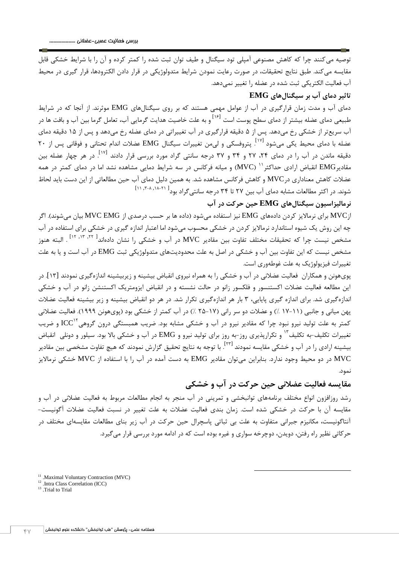توصيه ميکنند چرا که کاهش مصنوعي آمپلي تود سيگنال و طيف توان ثبت شده را کمتر کرده و آن را با شرايط خشکي قابل مقايسه ميکند. طبق نتايج تحقيقات، در صورت رعايت نمودن شرايط متدولوژيکي در قرار دادن الکترودها، قرار گيري در محيط آب فعاليت الکتريکي ثبت شده در عضله را تغيير نميدهد.

### **تاثير دمای آب بر سيگنالهای EMG**

دماي آب و مدت زمان قرارگيري در آب از عوامل مهمي هستند که بر روي سيگنالهاي EMG موثرند. از آنجا که در شرايط طبيعي دماي عضله بيشتر از دماي سطح پوست است <sup>[۱۶]</sup> و به علت خاصيت هدايت گرمايي آب، تعامل گرما بين آب و بافت ها در آب سريعتر از خشکي رخ ميدهد. پس از 4 دقيقه قرارگيري در آب تغييراتي در دماي عضله رخ ميدهد و پس از 44 دقيقه دماي عضله با دمای محیط یکی میشود <sup>[۱۷]</sup>. پتروفسکی و ل<sub>ی</sub>من تغییرات سیگنال EMG عضلات اندام تحتانی و فوقانی پس از ۲۰ دقيقه ماندن در آب را در دمای ۲۴، ۲۷ و ۳۴ و ۳۷ درجه سانتي گراد مورد بررسي قرار دادند <sup>[۱۷]</sup>. در هر چهار عضله بين ، مقادير EMG انقباض ارادي حداکثر <sup>۱٬</sup> (MVC) و ميانه فرکانس در سه شرايط دمايي مشاهده نشد اما در دماي کمتر در همه عضالت کاهش معناداري درMVC و کاهش فرکانس مشاهده شد. به همين دليل دماي آب حين مطالعاتي از اين دست بايد لحاظ شوند. در اکثر مطالعات مشابه دمای آب بین ۲۷ تا ۳۴ درجه سانتیگراد بود<sup>[ ۲۱</sup>۰۸'۰<sup>۸</sup>۰۱۰'۱۱]

## **نرماليزاسيون سيگنالهای EMG حين حرکت در آب**

ازMVC براي نرمااليز کردن دادههاي EMG نيز استفاده ميشود )داده ها بر حسب درصدي از EMG MVC بيان ميشوند(. اگر چه اين روش يک شيوه استاندارد نرمااليز کردن در خشکي محسوب ميشود اما اعتبار اندازه گيري در خشکي براي استفاده در آب مشخص نيست چرا که تحقيقات مختلف تفاوت بين مقادير MVC در آب و خشکی را نشان دادهاند<sup>[ ۱۲, ۱۳, ۱۲]</sup> . البته هنوز مشخص نيست که اين تفاوت بين آب و خشکي در اصل به علت محدوديتهاي متدولوژيکي ثبت EMG در آب است و يا به علت تغييرات فيزيولوژيک به علت غوطهوري است.

پويهونن و همکاران فعاليت عضالني در آب و خشکي را به همراه نيروي انقباض بيشينه و زيربيشينه اندازهگيري نمودند [44]. در اين مطالعه فعاليت عضالت اکستنسور و فلکسور زانو در حالت نشسته و در انقباض ايزومتريک اکستنشن زانو در آب و خشکي اندازهگيري شد. براي اندازه گيري پايايي، 4 بار هر اندازهگيري تکرار شد. در هر دو انقباض بيشينه و زير بيشينه فعاليت عضالت پهن مياني و جانبي (١١-١٧ ٪) و عضلات دو سر راني (١٧-٢۵ ٪) در آب کمتر از خشکي بود (پويهونن ١٩٩٩). فعاليت عضلاني کمتر به علت توليد نيرو نبود چرا که مقادير نيرو در آب و خشکي مشابه بود. ضريب همبستگي درون گروهي $\text{ICC}^{\text{V}}$  و ضريب تغييرات تکليف-به تکليف<sup>۱۳</sup> و تکرارپذيري روز-به روز براي توليد نيرو و EMG در آب و خشکي بالا بود. سيلور و دونلي انقباض بيشينه ارادى را در آب و خشكى مقايسه نمودند <sup>[٢٣]</sup>. با توجه به نتايج تحقيق گزارش نمودند كه هيچ تفاوت مشخصى بين مقادير MVC در دو محيط وجود ندارد. بنابراين ميتوان مقادير EMG به دست آمده در آب را با استفاده از MVC خشکي نرمااليز نمود.

## **مقايسه فعاليت عضالني حين حرکت در آب و خشکي**

1

رشد روزافزون انواع مختلف برنامههاي توانبخشي و تمريني در آب منجر به انجام مطالعات مربوط به فعاليت عضالني در آب و مقايسه آن با حرکت در خشکي شده است. زمان بندي فعاليت عضالت به علت تغيير در نسبت فعاليت عضالت آگونيست- آنتاگونيست، مکانيزم جبراني متفاوت به علت بي ثباتي پاسچرال حين حرکت در آب زير بناي مطالعات مقايسهاي مختلف در حرکاتي نظير راه رفتن، دويدن، دوچرخه سواري و غيره بوده است که در ادامه مورد بررسي قرار ميگيرد.

<sup>&</sup>lt;sup>11</sup> .Maximal Voluntary Contraction (MVC)

<sup>12</sup> .Intra Class Correlation (ICC)

<sup>&</sup>lt;sup>13</sup> .Trial to Trial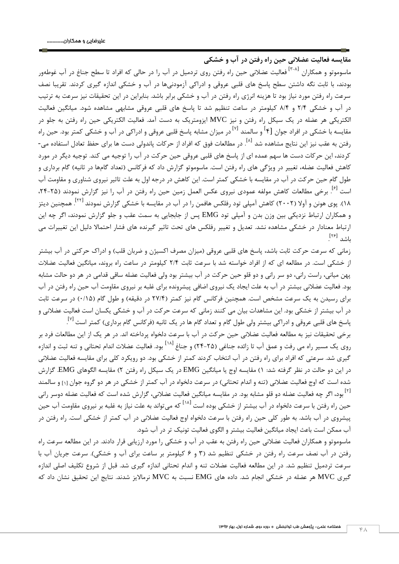**مقايسه فعاليت عضالني حين راه رفتن در آب و خشکي**  ماسوموتو و همکاران <sup>[۲-۸]</sup> فعاليت عضلانى حين راه رفتن روى تردميل در آب را در حالى که افراد تا سطح جناغ در آب غوطهور بودند، با ثابت نگه داشتن سطح پاسخ هاي قلبي عروقي و ادراکي آزمودنيها در آب و خشکي اندازه گيري کردند. تقريبا نصف سرعت راه رفتن مورد نياز بود تا هزينه انرژي راه رفتن در آب و خشکي برابر باشد. بنابراين در اين تحقيقات نيز سرعت به ترتيب در آب و خشکي 2/1 و 1/1 کيلومتر در ساعت تنظيم شد تا پاسخ هاي قلبي عروقي مشابهي مشاهده شود. ميانگين فعاليت الکتريکي هر عضله در يک سيکل راه رفتن و نيز MVC ايزومتريک به دست آمد. فعاليت الکتريکي حين راه رفتن به جلو در مقايسه با خشکي در افراد جوان [۴<sup>]</sup> و سالمند <sup>[۷]</sup> در ميزان مشابه پاسخ قلبي عروقي و ادراکي در آب و خشکي کمتر بود. حين راه رفتن به عقب نيز اين نتايج مشاهده شد <sup>[۸]</sup>. در مطالعات فوق که افراد از حرکات پاندولی دست ها برای حفظ تعادل استفاده می-کردند، اين حرکات دست ها سهم عمده اي از پاسخ هاي قلبي عروقي حين حرکت در آب را توجيه مي کند. توجيه ديگر در مورد کاهش فعاليت عضله، تغيير در ويژگي هاي راه رفتن است. ماسوموتو گزارش داد که فرکانس (تعداد گامها در ثانيه) گام برداري و طول گام حين حرکت در آب در مقايسه با خشکي کمتر است. اين کاهش در درجه اول به علت تاثير نيروي شناوري و مقاومت آب ست <sup>[۶]</sup>. برخي مطالعات کاهش مولفه عمودي نيروي عکس العمل زمين حين راه رفتن در آب را نيز گزارش نمودند (۲۵-۲۴، ۱۸). پوی هونن و آولا (۲۰۰۲) کاهش آمپلی تود رفلکس هافمن را در آب در مقايسه با خشکی گزارش نمودند <sup>[۲۲]</sup>. همچنين ديتز و همکاران ارتباط نزديکي بين وزن بدن و آمپلي تود EMG پس از جابجايي به سمت عقب و جلو گزارش نمودند، اگر چه اين ارتباط معنادار در خشکي مشاهده نشد. تعديل و تغيير رفلکس هاي تحت تاثير گيرنده هاي فشار احتماال دليل اين تغييرات مي باشد <sup>[۲۶]</sup>. .

زماني که سرعت حرکت ثابت باشد، پاسخ هاي قلبي عروقي (ميزان مصرف اکسيژن و ضربان قلب) و ادراک حرکتي در آب بيشتر از خشکي است. در مطالعه اي که از افراد خواسته شد با سرعت ثابت 2/1 کيلومتر در ساعت راه بروند، ميانگين فعاليت عضالت پهن مياني، راست راني، دو سر راني و دو قلو حين حرکت در آب بيشتر بود ولي فعاليت عضله ساقي قدامي در هر دو حالت مشابه بود. فعاليت عضالني بيشتر در آب به علت ايجاد يک نيروي اضافي پيشرونده براي غلبه بر نيروي مقاومت آب حين راه رفتن در آب براي رسيدن به يک سرعت مشخص است. همچنين فرکانس گام نيز کمتر (٢٧/۴ در دقيقه) و طول گام (٠/١۵) در سرعت ثابت در آب بيشتر از خشکي بود. اين مشاهدات بيان مي کنند زماني که سرعت حرکت در آب و خشکي يکسان است فعاليت عضالني و پاسخ های قلبی عروقی و ادراکی بیشتر ولی طول گام و تعداد گام ها در یک ثانیه (فرکانس گام برداری) کمتر است <sup>[۷]</sup> .

برخي تحقيقات نيز به مطالعه فعاليت عضالني حين حرکت در آب با سرعت دلخواه پرداخته اند. در هر يک از اين مطالعات فرد بر روی یک مسیر راه می رفت و عمق آب تا زائده جناغی (۲۵-۲۴) و جناغ <sup>[۱۸]</sup> بود. فعالیت عضلات اندام تحتانی و تنه ثبت و اندازه گيري شد. سرعتي که افراد براي راه رفتن در آب انتخاب کردند کمتر از خشکي بود. دو رويکرد کلي براي مقايسه فعاليت عضالني در اين دو حالت در نظر گرفته شد: 4( مقايسه اوج يا ميانگين EMG در يک سيکل راه رفتن 2( مقايسه الگوهاي EMG. گزارش شده است که اوج فعاليت عضلاني (تنه و اندام تحتاني) در سرعت دلخواه در آب کمتر از خشکي در هر دو گروه جوان <sub>[1]</sub> و سالمند [2] بود، اگر چه فعاليت عضله دو قلو مشابه بود. در مقايسه ميانگين فعاليت عضالني، گزارش شده است که فعاليت عضله دوسر راني حين راه رفتن با سرعت دلخواه در آب بيشتر از خشکي بوده است <sup>[۱۸]</sup> که مي¤واند به علت نياز به غلبه بر نيروي مقاومت آب حين پيشروي در آب باشد. به طور کلي حين راه رفتن با سرعت دلخواه اوج فعاليت عضالني در آب کمتر از خشکي است. راه رفتن در آب ممکن است باعث ايجاد ميانگين فعاليت بيشتر و الگوي فعاليت تونيک تر در آب شود.

ماسوموتو و همکاران فعاليت عضالني حين راه رفتن به عقب در آب و خشکي را مورد ارزيابي قرار دادند. در اين مطالعه سرعت راه رفتن در آب نصف سرعت راه رفتن در خشکي تنظيم شد (٣ و ۶ کيلومتر بر ساعت براي آب و خشکي). سرعت جريان آب با سرعت تردميل تنظيم شد. در اين مطالعه فعاليت عضالت تنه و اندام تحتاني اندازه گيري شد. قبل از شروع تکليف اصلي اندازه گيري MVC هر عضله در خشکي انجام شد. داده هاي EMG نسبت به MVC نرمااليز شدند. نتايج اين تحقيق نشان داد که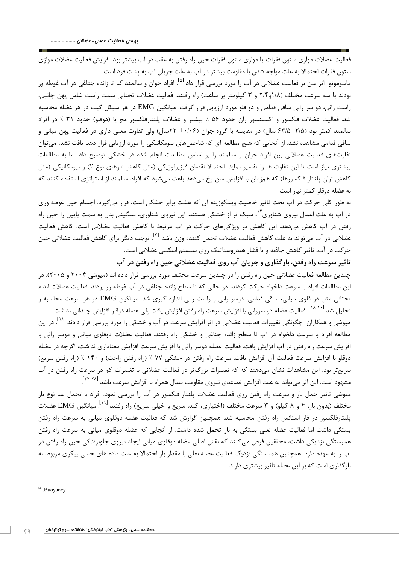فعاليت عضالت موازي ستون فقرات يا موازي ستون فقرات حين راه رفتن به عقب در آب بيشتر بود. افزايش فعاليت عضالت موازي ستون فقرات احتماال به علت مواجه شدن با مقاومت بيشتر در آب به علت جريان آب به پشت فرد است.

ماسوموتو اثر سن بر فعاليت عضلانى در آب را مورد بررسى قرار داد <sup>[۵]</sup>. افراد جوان و سالمند که تا زائده جناغى در آب غوطه ور بودند با سه سرعت مختلف (١/٨و٢٢ و ٣ كيلومتر بر ساعت) راه رفتند. فعاليت عضلات تحتاني سمت راست شامل پهن جانبي، راست راني، دو سر راني ساقي قدامي و دو قلو مورد ارزيابي قرار گرفت. ميانگين EMG در هر سيکل گيت در هر عضله محاسبه شد. فعاليت عضالت فلکسور و اکستنسور ران حدود 46 % بيشتر و عضالت پلنتارفلکسور مچ پا )دوقلو( حدود 44 % در افراد سالمند کمتر بود (۴/۵±۶۳/۵ سال) در مقايسه با گروه جوان (۴۰/۰۶ ٢٢سال) ولي تفاوت معني داري در فعاليت پهن مياني و ساقي قدامي مشاهده نشد. از آنجايي که هيچ مطالعه اي که شاخصهاي بيومکانيکي را مورد ارزيابي قرار دهد يافت نشد، ميتوان تفاوتهاي فعاليت عضالني بين افراد جوان و سالمند را بر اساس مطالعات انجام شده در خشکي توضيح داد. اما به مطالعات بيشتري نياز است تا اين تفاوت ها را تفسير نمايد. احتمالا نقصان فيزيولوژيکي (مثل کاهش تارهاي نوع ۲) و بيومکانيکي (مثل کاهش توان پلنتار فلکسورها) که همزمان با افزايش سن رخ ميدهد باعث ميشود که افراد سالمند از استراتژي استفاده کنند که به عضله دوقلو کمتر نياز است.

به طور کلي حرکت در آب تحت تاثير خاصيت ويسکوزيته آن که هشت برابر خشکي است، قرار ميگيرد. اجسام حين غوطه وري در آب به علت اعمال نيروي شناوري<sup>؟'</sup>، سبک تر از خشکي هستند. اين نيروي شناوري، سنگيني بدن به سمت پايين را حين راه رفتن در آب کاهش ميدهد. اين کاهش در ويژگيهاي حرکت در آب مرتبط با کاهش فعاليت عضالني است. کاهش فعاليت عضلانی در آب میتواند به علت کاهش فعاليت عضلات تحمل کننده وزن باشد <sup>[۲]</sup>. توجيه ديگر برای کاهش فعاليت عضلانی حين حرکت در آب، تاثير کاهش جاذبه و يا فشار هيدروستاتيک روي سيستم اسکلتي عضالني است.

**تاثير سرعت راه رفتن، بارگذاری و جريان آب روی فعاليت عضالني حين راه رفتن در آب** چندين مطالعه فعاليت عضالني حين راه رفتن را در چندين سرعت مختلف مورد بررسي قرار داده اند )ميوشي 2331 و 2334(. در اين مطالعات افراد با سرعت دلخواه حرکت کردند، در حالي که تا سطح زائده جناغي در آب غوطه ور بودند. فعاليت عضالت اندام تحتاني مثل دو قلوي مياني، ساقي قدامي، دوسر راني و راست راني اندازه گيري شد. ميانگين EMG در هر سرعت محاسبه و نحليل شد <sup>[۱۸</sup>-<sup>۱۸]</sup>. فعاليت عضله دو سررانى با افزايش سرعت راه رفتن افزايش يافت ولى عضله دوقلو افزايش چندانى نداشت.

ميوشي و همکاران چگونگي تغييرات فعاليت عضلاني در اثر افزايش سرعت در آب و خشکي را مورد بررسي قرار دادند <sup>[۱۸]</sup>. در اين مطالعه افراد با سرعت دلخواه در آب تا سطح زائده جناغي و خشکي راه رفتند. فعاليت عضالت دوقلوي مياني و دوسر راني با افزايش سرعت راه رفتن در آب افزايش يافت. فعاليت عضله دوسر راني با افزايش سرعت افزايش معناداري نداشت، اگرچه در عضله دوقلو با افزايش سرعت فعاليت آن افزايش يافت. سرعت راه رفتن در خشکي ٧٧ ٪ (راه رفتن راحت) و ١۴٠ ٪ (راه رفتن سريع) سريعتر بود. اين مشاهدات نشان ميدهند که که تغييرات بزرگتر در فعاليت عضالني با تغييرات کم در سرعت راه رفتن در آب مشهود است. اين اثر مىتواند به علت افزايش تصاعدى نيروى مقاومت سيال همراه با افزايش سرعت باشد <sup>[۲۷-۲۸</sup>] .

ميوشي تاثير حمل بار و سرعت راه رفتن روي فعاليت عضالت پلنتار فلکسور در آب را بررسي نمود. افراد با تحمل سه نوع بار مختلف (بدون بار، ۴ و ۸ کيلو) و ۳ سرعت مختلف (اختيارى، کند، سريع و خيلي سريع) راه رفتند <sup>[۱۹]</sup>. ميانگين EMG عضلات پلنتارفلکسور در فاز استانس راه رفتن محاسبه شد. همچنين گزارش شد که فعاليت عضله دوقلوي مياني به سرعت راه رفتن بستگي داشت اما فعاليت عضله نعلي بستگي به بار تحمل شده داشت. از آنجايي که عضله دوقلوي مياني به سرعت راه رفتن همبستگي نزديکي داشت، محققين فرض ميکنند که نقش اصلي عضله دوقلوي مياني ايجاد نيروي جلوبرندگي حين راه رفتن در آب را به عهده دارد. همچنين همبستگي نزديک فعاليت عضله نعلي با مقدار بار احتماال به علت داده هاي حسي پيکري مربوط به بارگذاري است که بر اين عضله تاثير بيشتري دارند.

1

<sup>14</sup> .Buoyancy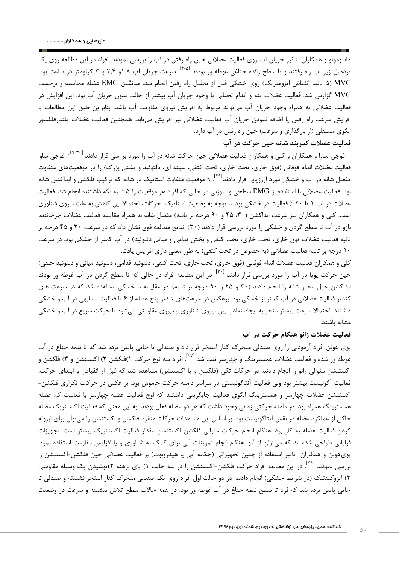ماسوموتو و همکاران تاثير جريان آب روي فعاليت عضالني حين راه رفتن در آب را بررسي نمودند. افراد در اين مطالعه روي يک نردميل زير آب راه رفتند و تا سطح زائده جناغي غوطه ور بودند <sup>[۴-۵]</sup>. سرعت جريان آب ۱٫۸و ۲٫۴ و ۳ کيلومتر در ساعت بود. MVC (۵ ثانيه انقباض ايزومتريک) روي خشکي قبل از تحليل راه رفتن انجام شد. ميانگين EMG عضله محاسبه و برحسب MVC گزارش شد. فعاليت عضالت تنه و اندام تحتاني با وجود جريان آب بيشتر از حالت بدون جريان آب بود. اين افزايش در فعاليت عضالني به همراه وجود جريان آب ميتواند مربوط به افزايش نيروي مقاومت آب باشد. بنابراين طبق اين مطالعات با افزايش سرعت راه رفتن يا اضافه نمودن جريان آب فعاليت عضالني نيز افزايش مييابد. همچنين فعاليت عضالت پلنتارفلکسور الگوي مستقلي (از بارگذاري و سرعت) حين راه رفتن در آب دارد. **فعاليت عضالت کمربند شانه حين حرکت در آب**

فوجي ساوا و همکاران و کلي و همکاران فعاليت عضلاني حين حرکت شانه در آب را مورد بررسي قرار دادند <sup>[۲۹</sup>-۲<sup>۹]</sup>. فوجي ساوا فعاليت عضلات اندام فوقاني (فوق خاري، تحت خاري، تحت کتفي، سينه اي، دلتوئيد و پشتي بزرگ) را در موقعيتهاي متفاوت مفصل شانه در آب و خشکی مورد اررزیابی قرار دادند<sup>[۲۹]</sup>. ۹ موقعیت متفاوت استاتیک در شانه که ترکیب فلکشن و ابداکشن شانه بود. فعاليت عضالني با استفاده از EMG سطحي و سوزني در حالي که افراد هر موقعيت را 4 ثانيه نگه داشتند؛ انجام شد. فعاليت عضالت در آب 4 تا 23 % فعاليت در خشکي بود. با توجه به وضعيت استاتيک حرکات، احتماال اين کاهش به علت نيروي شناوري است. کلي و همکاران نيز سرعت ابداکشن (۳۰، ۴۵ و ۹۰ درجه بر ثانيه) مفصل شانه به همراه مقايسه فعاليت عضلات چرخاننده بازو در آب تا سطح گردن و خشکي را مورد بررسي قرار دادند )43(. نتايج مطالعه فوق نشان داد که در سرعت 43 و 14 درجه بر ثانيه فعاليت عضلات فوق خاري، تحت خاري، تحت کتفي و بخش قدامي و مياني دلتوئيد) در آب کمتر از خشکي بود. در سرعت ۹۰ درجه بر ثانيه فعاليت عضلاني (به خصوص در تحت كتفي) به طور معني داري افزايش يافت.

کلي و همکاران فعاليت عضلات اندام فوقاني (فوق خاري، تحت خاري، تحت کتفي، دلتوئيد قدامي، دلتوئيد مياني و دلتوئيد خلفي) حين حركت پويا در آب را مورد بررسى قرار دادند <sup>[۳۰]</sup>. در اين مطالعه افراد در حالي كه تا سطح گردن در آب غوطه ور بودند ابداکشن حول محور شانه را انجام دادند )43 و 14 و 93 درجه بر ثانيه(. در مقايسه با خشکي مشاهده شد که در سرعت هاي کندتر فعاليت عضالني در آب کمتر از خشکي بود. برعکس در سرعتهاي تندتر پنج عضله از 6 تا فعاليت مشابهي در آب و خشکي داشتند. احتماال سرعت بيشتر منجر به ايجاد تعادل بين نيروي شناوري و نيروي مقاومتي ميشود تا حرکت سريع در آب و خشکي مشابه باشند.

### **فعاليت عضالت زانو هنگام حرکت در آب**

پوي هونن افراد آزمودني را روي صندلي متحرک کنار استخر قرار داد و صندلي تا جايي پايين برده شد که تا نيمه جناغ در آب فوطه ور شده و فعاليت عضلات همسترينگ و چهارسر ثبت شد <sup>[٢٧]</sup>. افراد سه نوع حرکت ١)فلکشن ٢) اکستنشن و ٣) فلکشن و اکستنشن متوالي زانو را انجام دادند. در حرکات تکي (فلکشن و يا اکستنشن) مشاهده شد که قبل از انقباض و ابتداي حرکت، فعاليت آگونيست بيشتر بود ولي فعاليت آنتاگونيستي در سراسر دامنه حرکت خاموش بود. بر عکس در حرکات تکراري فلکشن- اکستنشن عضالت چهارسر و همسترينگ الگوي فعاليت جايگزيني داشتند که اوج فعاليت عضله چهارسر با فعاليت کم عضله همسترينگ همراه بود. در دامنه حرکتي زماني وجود داشت که هر دو عضله فعال بودند، به اين معني که فعاليت اکسنتريک عضله حاکي از عملکرد عضله در نقش آنتاگونيست بود. بر اساس اين مشاهدات حرکات منفرد فلکشن و اکستنشن را ميتوان براي ايزوله کردن فعاليت عضله به کار برد. هنگام انجام حرکات متوالي فلکشن-اکستنشن مقدار فعاليت اکسنتريک بيشتر است. تجهيزات فراواني طراحي شده اند که ميتوان از آنها هنگام انجام تمرينات آبي براي کمک به شناوري و يا افزايش مقاومت استفاده نمود. پوي هونن و همکاران تاثير استفاده از چنين تجهيزاتي (چکمه آبي يا هيدروبوت) بر فعاليت عضلاني حين فلکشن-اکستنشن را بررسی نمودند <sup>[۲۸]</sup>. در اين مطالعه افراد حرکت فلکشن–اکستنشن را در سه حالت ۱) پای برهنه ۲)پوشيدن يک وسيله مقاومتی 4( ايزوکينتيک )در شرايط خشکي( انجام دادند. در دو حالت اول افراد روي يک صندلي متحرک کنار استخر نشسته و صندلي تا جايي پايين برده شد که فرد تا سطح نيمه جناغ در آب غوطه ور بود. در همه حاالت سطح تالش بيشينه و سرعت در وضعيت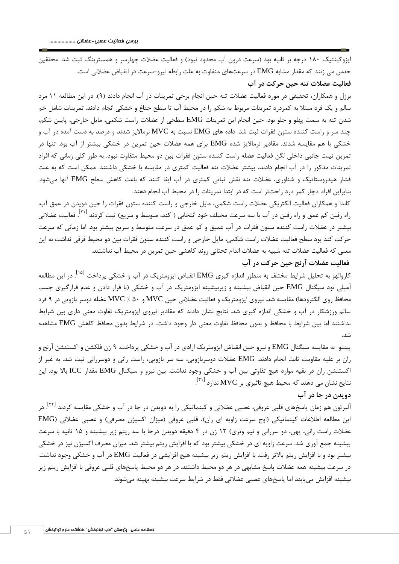ايزوکينتيک 1۸۰ درجه بر ثانيه بود (سرعت درون آب محدود نبود) و فعاليت عضلات چهارسر و همسترينگ ثبت شد. محققين حدس مي زنند که مقدار مشابه EMG در سرعتهاي متفاوت به علت رابطه نيرو-سرعت در انقباض عضالني است. **فعاليت عضالت تنه حين حرکت در آب**

برزل و همکاران، تحقيقي در مورد فعاليت عضالت تنه حين انجام برخي تمرينات در آب انجام دادند )9(. در اين مطالعه 44 مرد سالم و يک فرد مبتال به کمردرد تمرينات مربوط به شکم را در محيط آب تا سطح جناغ و خشکي انجام دادند. تمرينات شامل خم شدن تنه به سمت پهلو و جلو بود. حين انجام اين تمرينات EMG سطحي از عضالت راست شکمي، مايل خارجي، پايين شکم، چند سر و راست کننده ستون فقرات ثبت شد. داده هاي EMG نسبت به MVC نرمااليز شدند و درصد به دست آمده در آب و خشکي با هم مقايسه شدند. مقادير نرمااليز شده EMG براي همه عضالت حين تمرين در خشکي بيشتر از آب بود. تنها در تمرين تيلت جانبي داخلي لگن فعاليت عضله راست کننده ستون فقرات بين دو محيط متفاوت نبود. به طور کلي زماني که افراد تمرينات مذکور را در آب انجام دادند، بيشتر عضالت تنه فعاليت کمتري در مقايسه با خشکي داشتند. ممکن است که به علت فشار هيدروستاتيک و شناوري، عضالت تنه نقش ثباتي کمتري در آب ايفا کنند که باعث کاهش سطح EMG آنها ميشود. بنابراين افراد دچار کمر درد راحتتر است که در ابتدا تمرينات را در محيط آب انجام دهند.

کاندا و همکاران فعاليت الکتريکي عضالت راست شکمي، مايل خارجي و راست کننده ستون فقرات را حين دويدن در عمق آب، راه رفتن کم عمق و راه رفتن در آب با سه سرعت مختلف خود انتخابی ( کند، متوسط و سریع) ثبت کردند <sup>[۲۱]</sup>. فعالیت عضلانی بيشتر در عضالت راست کننده ستون فقرات در آب عميق و کم عمق در سرعت متوسط و سريع بيشتر بود. اما زماني که سرعت حرکت کند بود سطح فعاليت عضالت راست شکمي، مايل خارجي و راست کننده ستون فقرات بين دو محيط فرقي نداشت به اين معني که فعاليت عضالت تنه شبيه به عضالت اندام تحتاني روند کاهشي حين تمرين در محيط آب نداشتند.

## **فعاليت عضالت آرنج حين حرکت در آب**

کاروالهو به تحليل شرايط مختلف به منظور اندازه گيرى EMG انقباض ايزومتريک در آب و خشکي پرداخت <sup>[۱۵]</sup>. در اين مطالعه آمپلي تود سيگنال EMG حين انقباض بيشينه و زيربيشينه ايزومتريک در آب و خشکي )با قرار دادن و عدم قرارگيري چسب محافظ روي الکترودها) مقايسه شد. نيروي ايزومتريک و فعاليت عضلاني حين MVC و 6۰ ٪ MVC عضله دوسر بازويي در ۹ فرد سالم ورزشکار در آب و خشکي اندازه گيري شد. نتايج نشان دادند که مقادير نيروي ايزومتريک تفاوت معني داري بين شرايط نداشتند اما بين شرايط با محافظ و بدون محافظ تفاوت معني دار وجود داشت. در شرايط بدون محافظ کاهش EMG مشاهده شد.

پينتو به مقايسه سيگنال EMG و نيرو حين انقباض ايزومتريک ارادي در آب و خشکي پرداخت. 9 زن فلکشن و اکستنشن آرنج و ران بر عليه مقاومت ثابت انجام دادند. EMG عضالت دوسربازويي، سه سر بازويي، راست راني و دوسرراني ثبت شد. به غير از اکستنشن ران در بقيه موارد هيچ تفاوتي بين آب و خشکي وجود نداشت. بين نيرو و سيگنال EMG مقدار ICC باال بود. اين  $\left[ ^{\left. \text{r}\right. \right. 1}\right.$ ندارد  $\left[ ^{\left. \text{r}\right. \right. 1}\right.$  ندارد  $\left[ ^{\left. \text{r}\right. \right. 1}\right.$  ندارد .

#### **دويدن در جا در آب**

<sup>ا</sup>لبرتون هم زمان پاسخهای قلبی عروقی، عصبی عضلانی و کینماتیکی را به دویدن در جا در آب و خشکی مقایسه کردند <sup>[۳۲]</sup>. در اين مطالعه اطلاعات کينماتيکي (اوج سرعت زاويه اي ران)، قلبي عروقي (ميزان اکسيژن مصرفي) و عصبي عضلاني (EMG عضلات راست راني، پهن، دو سرراني و نيم وتري) ١٢ زن در ۴ دقيقه دويدن درجا با سه ريتم زير بيشينه و ١۵ ثانيه با سرعت بيشينه جمع آوري شد. سرعت زاويه اي در خشکي بيشتر بود که با افزايش ريتم بيشتر شد. ميزان مصرف اکسيژن نيز در خشکي بيشتر بود و با افزايش ريتم باالتر رفت. با افزايش ريتم زير بيشينه هيچ افزايشي در فعاليت EMG در آب و خشکي وجود نداشت. در سرعت بيشينه همه عضالت پاسخ مشابهي در هر دو محيط داشتند. در هر دو محيط پاسخهاي قلبي عروقي با افزايش ريتم زير بيشينه افزايش مييابند اما پاسخهاي عصبي عضالني فقط در شرايط سرعت بيشينه بهينه ميشوند.